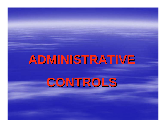# **ADMINISTRATIVE ADMINISTRATIVE CONTROLS CONTROLS**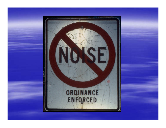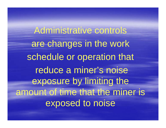Administrative controls are changes in the work schedule or operation that reduce a miner's noise exposure by limiting the amount of time that the miner is exposed to noise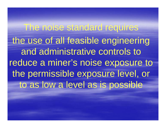The noise standard requires the use of all feasible engineering and administrative controls to reduce a miner's noise exposure to the permissible exposure level, or to as low a level as is possible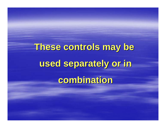# **These controls may be These controls may be used separately or in used separately or in combination combination**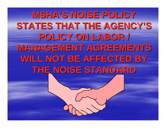**MSHA'S NOISE POLICY STATES THAT THE AGENCY'S POLICY ON LABOR / POLICY ON LABOR / MANAGEMENT AGREEMENTS** WILL NOT BE AFFECTED BY **THE NOISE STANDARD THE NOISE STANDARD**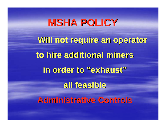**MSHA POLICY Will not require an operator Will not require an operator to hire additional miners to hire additional miners**in order to "exhaust" **all feasible all feasibleAdministrative Controls Administrative Controls**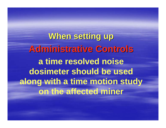**When setting up When setting up Administrative Controls Administrative Controls a time resolved noise dosimeter should be used along with a time motion study on the affected miner**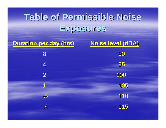# **Table of Permissible Noise Table of Permissible Noise Exposures Exposures**

| <b>Duration per day (hrs)</b> | Noise level (dBA) |
|-------------------------------|-------------------|
| 8                             | 90                |
| 4                             | 95                |
| $\overline{2}$                | 100               |
| 1                             | 105               |
| $\frac{1}{2}$                 | 110               |
| $\frac{1}{4}$                 | 115               |
|                               |                   |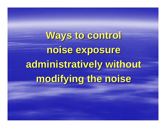**Ways to control Ways to control noise exposure noise exposure administratively without administratively without modifying the noise modifying the noise**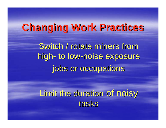#### **Changing Work Practices Changing Work Practices**

Switch / rotate miners from high to low -noise exposure jobs or occupations

Limit the duration of noisy tasks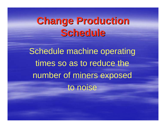# **Change Production Schedule Schedule**

Schedule machine operating times so as to reduce the number of miners exposed to noise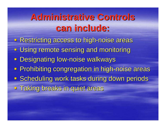### **Administrative Controls Administrative Controls can include: can include:**

**- Restricting access to high-noise areas - Using remote sensing and monitoring - Designating low-noise walkways - Prohibiting congregation in high-noise areas Scheduling work tasks during down periods - Taking breaks in quiet areas**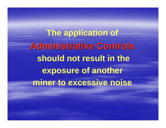**The application of Administrative Controls Administrative Controls should not result in the exposure of another miner to excessive noise**